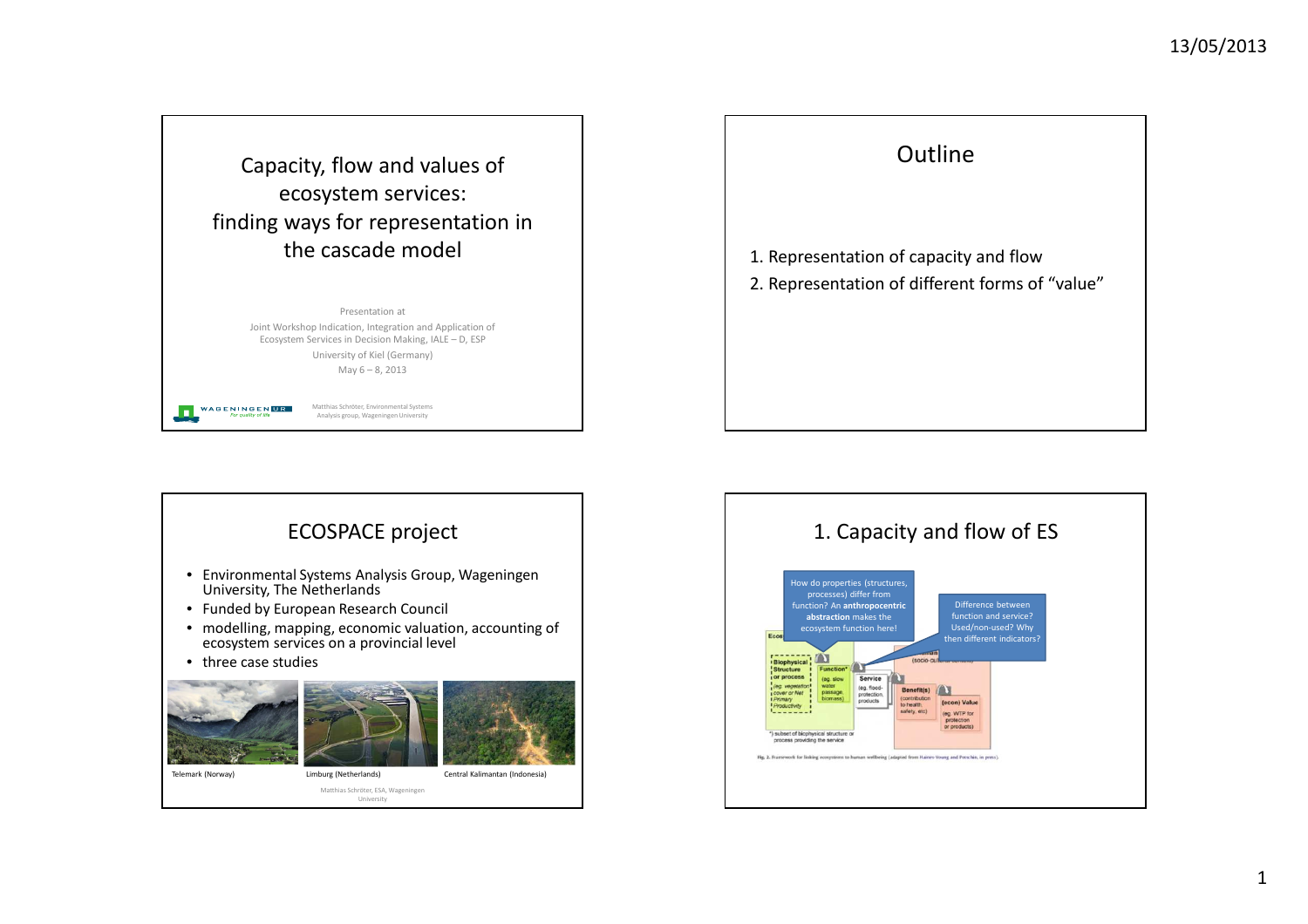

Presentation at Joint Workshop Indication, Integration and Application of Ecosystem Services in Decision Making, IALE – D, ESPUniversity of Kiel (Germany)May 6 – 8, 2013

> Matthias Schröter, Environmental Systems Analysis group, Wageningen University

**WAGENINGENLIR** 

**In** 





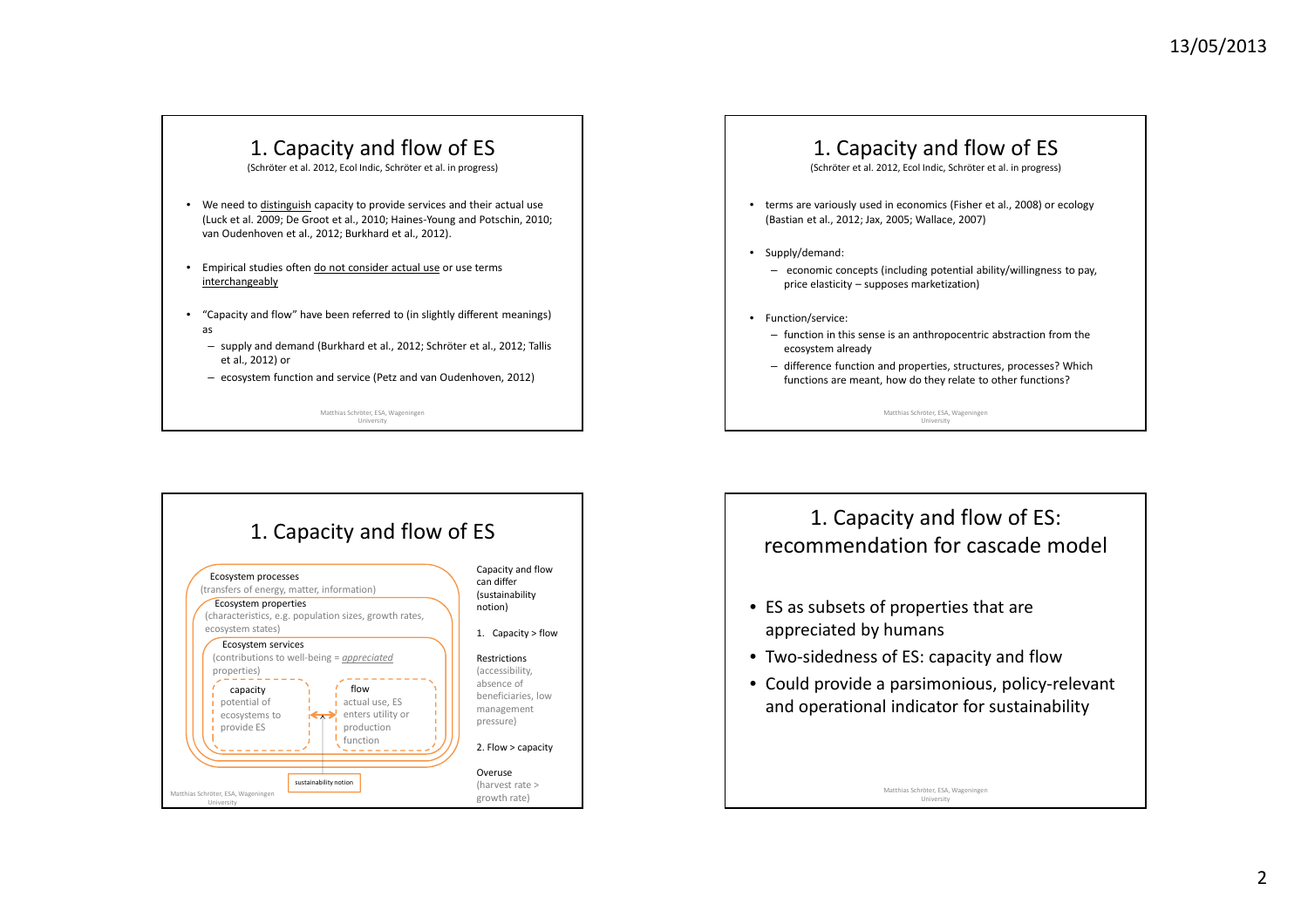## 1. Capacity and flow of ES

(Schröter et al. 2012, Ecol Indic, Schröter et al. in progress)

- We need to **distinguish** capacity to provide services and their actual use (Luck et al. 2009; De Groot et al., 2010; Haines-Young and Potschin, 2010; van Oudenhoven et al., 2012; Burkhard et al., 2012).
- Empirical studies often do not consider actual use or use terms interchangeably
- "Capacity and flow" have been referred to (in slightly different meanings) as
	- supply and demand (Burkhard et al., 2012; Schröter et al., 2012; Tallis et al., 2012) or
	- ecosystem function and service (Petz and van Oudenhoven, 2012)

Matthias Schröter, ESA, Wageningen University

## 1. Capacity and flow of ES

(Schröter et al. 2012, Ecol Indic, Schröter et al. in progress)

- terms are variously used in economics (Fisher et al., 2008) or ecology (Bastian et al., 2012; Jax, 2005; Wallace, 2007)
- Supply/demand:
	- economic concepts (including potential ability/willingness to pay, price elasticity – supposes marketization)
- Function/service:
	- function in this sense is an anthropocentric abstraction from the ecosystem already
	- difference function and properties, structures, processes? Which functions are meant, how do they relate to other functions?

Matthias Schröter, ESA, Wageningen University





- ES as subsets of properties that are appreciated by humans
- Two-sidedness of ES: capacity and flow
- Could provide a parsimonious, policy-relevant and operational indicator for sustainability

Matthias Schröter, ESA, Wageningen University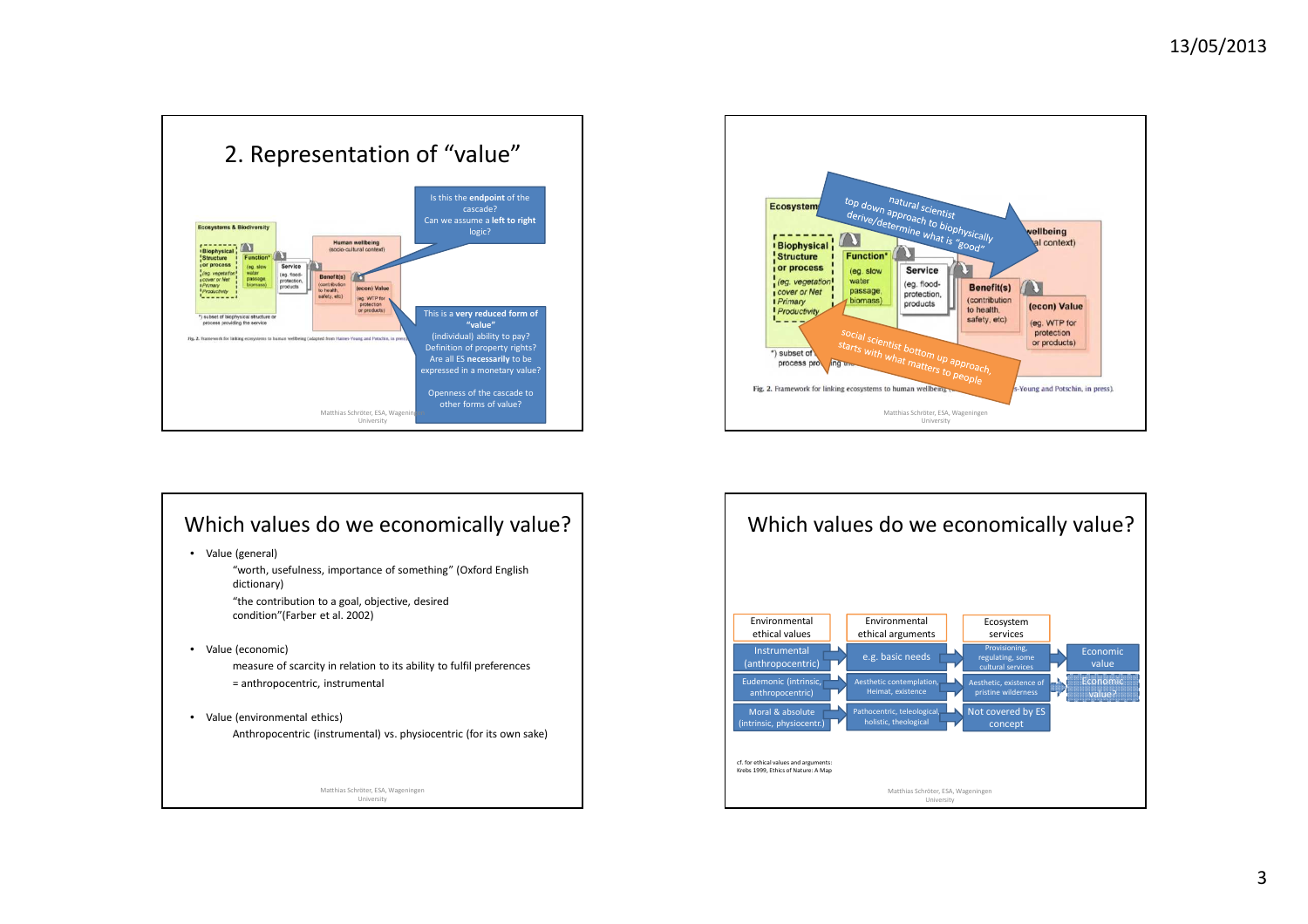

## Which values do we economically value?

• Value (general)

"worth, usefulness, importance of something" (Oxford English dictionary)"the contribution to a goal, objective, desired condition"(Farber et al. 2002)

• Value (economic)

measure of scarcity in relation to its ability to fulfil preferences= anthropocentric, instrumental

• Value (environmental ethics) Anthropocentric (instrumental) vs. physiocentric (for its own sake)

> Matthias Schröter, ESA, Wageningen University